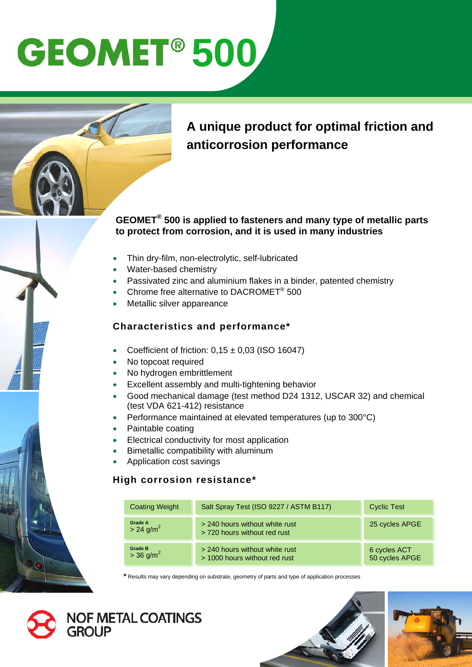# **GEOMET<sup>®</sup> 500**

### **A unique product for optimal friction and anticorrosion performance**

### **GEOMET® 500 is applied to fasteners and many type of metallic parts to protect from corrosion, and it is used in many industries**

- Thin dry-film, non-electrolytic, self-lubricated
- Water-based chemistry
- Passivated zinc and aluminium flakes in a binder, patented chemistry
- Chrome free alternative to DACROMET® 500
- Metallic silver appareance

### **Characteristics and performance\***

- Coefficient of friction:  $0,15 \pm 0,03$  (ISO 16047)
- No topcoat required
- No hydrogen embrittlement
- Excellent assembly and multi-tightening behavior
- Good mechanical damage (test method D24 1312, USCAR 32) and chemical (test VDA 621-412) resistance
- Performance maintained at elevated temperatures (up to 300°C)
- Paintable coating
- Electrical conductivity for most application
- Bimetallic compatibility with aluminum
- Application cost savings

#### **High corrosion resistance\***

| <b>Coating Weight</b>                     | Salt Spray Test (ISO 9227 / ASTM B117)                          | <b>Cyclic Test</b>             |
|-------------------------------------------|-----------------------------------------------------------------|--------------------------------|
| <b>Grade A</b><br>$> 24$ g/m <sup>2</sup> | > 240 hours without white rust<br>> 720 hours without red rust  | 25 cycles APGE                 |
| <b>Grade B</b><br>$> 36$ g/m <sup>2</sup> | > 240 hours without white rust<br>> 1000 hours without red rust | 6 cycles ACT<br>50 cycles APGE |

**\*** Results may vary depending on substrate, geometry of parts and type of application processes